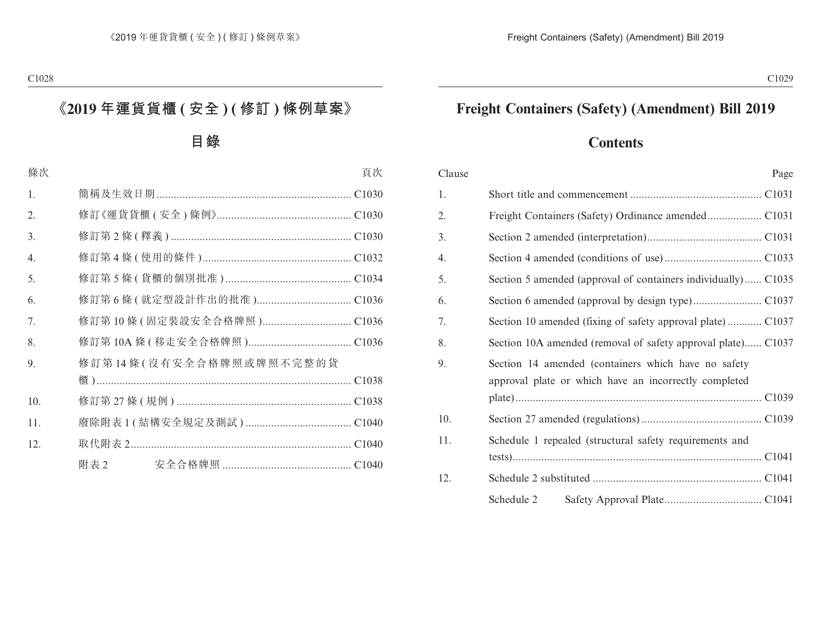# **Freight Containers (Safety) (Amendment) Bill 2019**

# **Contents**

| Clause | Page                                                                                                         |
|--------|--------------------------------------------------------------------------------------------------------------|
| 1.     |                                                                                                              |
| 2.     |                                                                                                              |
| 3.     |                                                                                                              |
| 4.     |                                                                                                              |
| 5.     | Section 5 amended (approval of containers individually) C1035                                                |
| 6.     |                                                                                                              |
| 7.     | Section 10 amended (fixing of safety approval plate) C1037                                                   |
| 8.     | Section 10A amended (removal of safety approval plate) C1037                                                 |
| 9.     | Section 14 amended (containers which have no safety<br>approval plate or which have an incorrectly completed |
| 10.    |                                                                                                              |
| 11.    | Schedule 1 repealed (structural safety requirements and                                                      |
| 12.    |                                                                                                              |
|        | Schedule 2                                                                                                   |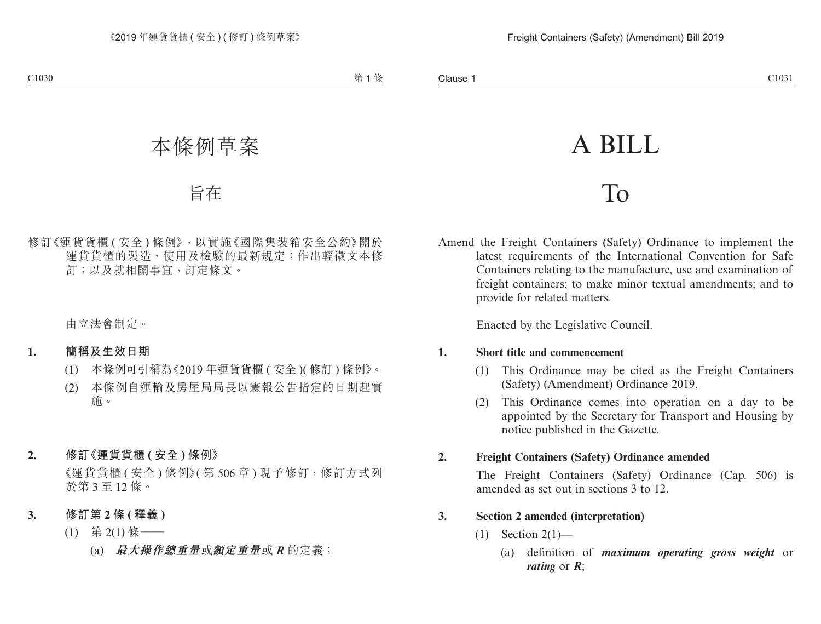# A BILL

# To

Amend the Freight Containers (Safety) Ordinance to implement the latest requirements of the International Convention for Safe Containers relating to the manufacture, use and examination of freight containers; to make minor textual amendments; and to provide for related matters.

Enacted by the Legislative Council.

#### **1. Short title and commencement**

- (1) This Ordinance may be cited as the Freight Containers (Safety) (Amendment) Ordinance 2019.
- (2) This Ordinance comes into operation on a day to be appointed by the Secretary for Transport and Housing by notice published in the Gazette.

#### **2. Freight Containers (Safety) Ordinance amended**

The Freight Containers (Safety) Ordinance (Cap. 506) is amended as set out in sections 3 to 12.

#### **3. Section 2 amended (interpretation)**

- $(1)$  Section  $2(1)$ 
	- (a) definition of *maximum operating gross weight* or *rating* or *R*;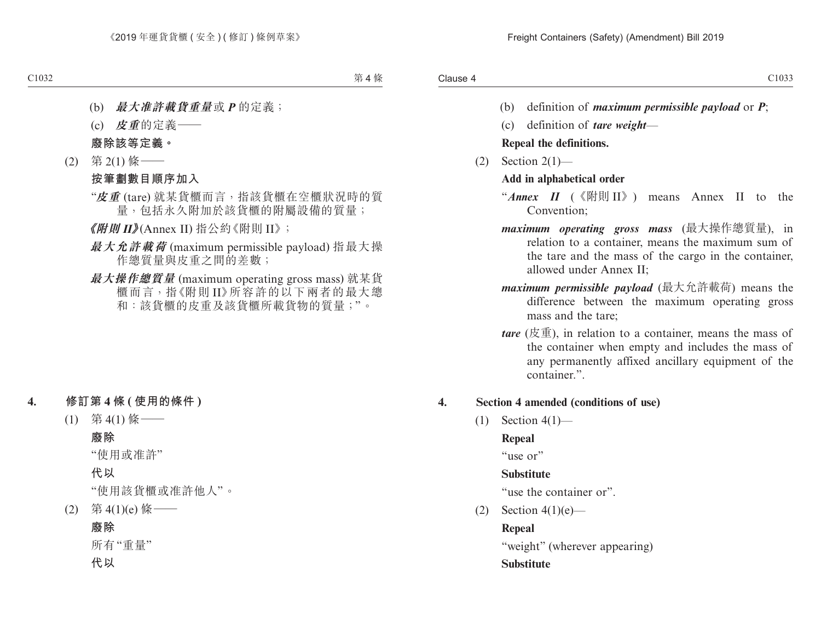- (b) definition of *maximum permissible payload* or *P*;
- (c) definition of *tare weight*—

#### **Repeal the definitions.**

 $(2)$  Section  $2(1)$ —

#### **Add in alphabetical order**

- "*Annex II* (《附則 II》) means Annex II to the Convention;
- *maximum operating gross mass* (最大操作總質量), in relation to a container, means the maximum sum of the tare and the mass of the cargo in the container, allowed under Annex II;
- *maximum permissible payload* (最大允許載荷) means the difference between the maximum operating gross mass and the tare;
- *tare* (皮重), in relation to a container, means the mass of the container when empty and includes the mass of any permanently affixed ancillary equipment of the container.".

#### **4. Section 4 amended (conditions of use)**

 $(1)$  Section 4(1)—

#### **Repeal**

"use or"

#### **Substitute**

"use the container or".

(2) Section  $4(1)(e)$ —

#### **Repeal**

"weight" (wherever appearing)

#### **Substitute**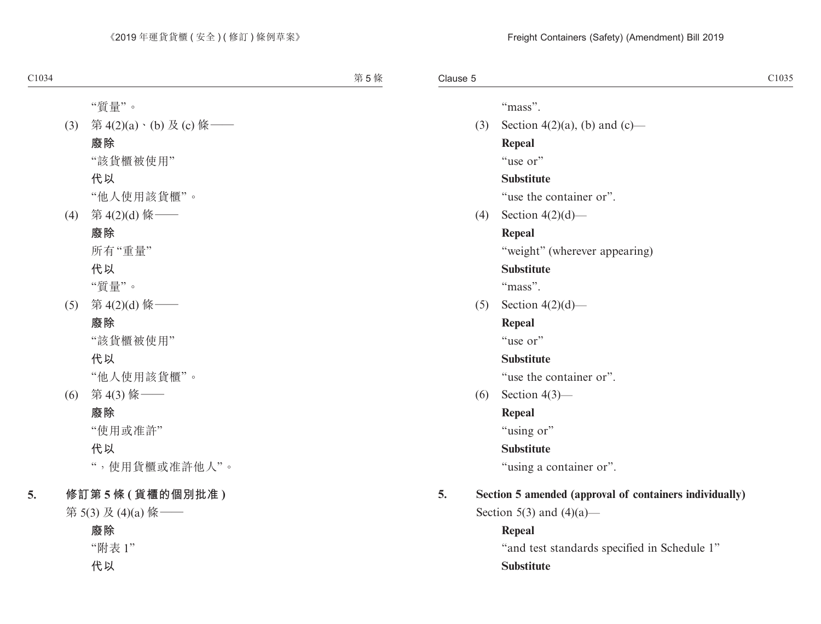"mass".

(3) Section 4(2)(a), (b) and (c)— **Repeal**

"use or"

#### **Substitute**

"use the container or".

(4) Section 4(2)(d)—

# **Repeal**

"weight" (wherever appearing)

# **Substitute**

"mass".

(5) Section  $4(2)(d)$ —

# **Repeal**

"use or"

# **Substitute**

"use the container or".

(6) Section 4(3)—

# **Repeal**

"using or"

# **Substitute**

"using a container or".

# **5. Section 5 amended (approval of containers individually)**

Section 5(3) and  $(4)(a)$ —

**Repeal** "and test standards specified in Schedule 1" **Substitute**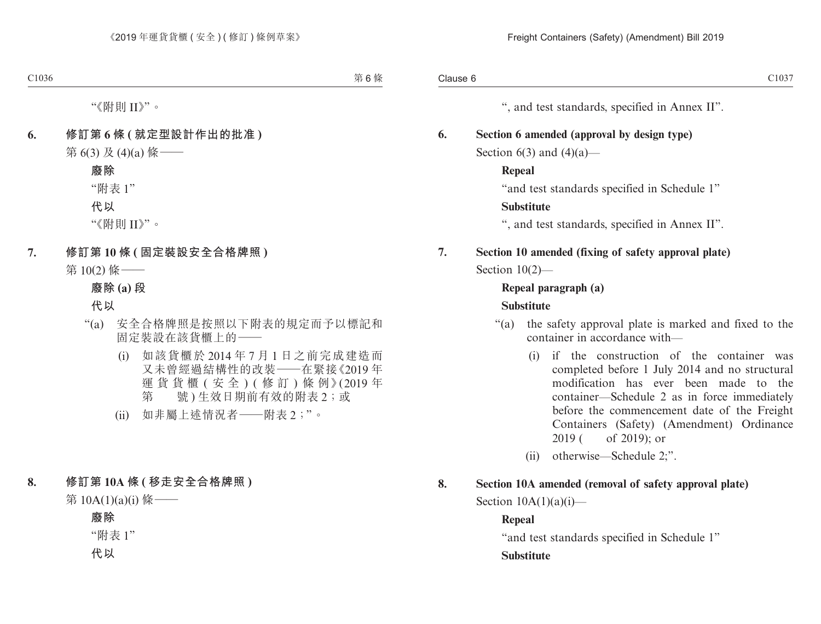", and test standards, specified in Annex II".

**6. Section 6 amended (approval by design type)**

Section  $6(3)$  and  $(4)(a)$ —

#### **Repeal**

"and test standards specified in Schedule 1"

#### **Substitute**

", and test standards, specified in Annex II".

**7. Section 10 amended (fixing of safety approval plate)**

#### Section 10(2)—

#### **Repeal paragraph (a)**

#### **Substitute**

- "(a) the safety approval plate is marked and fixed to the container in accordance with—
	- (i) if the construction of the container was completed before 1 July 2014 and no structural modification has ever been made to the container—Schedule 2 as in force immediately before the commencement date of the Freight Containers (Safety) (Amendment) Ordinance 2019 ( of 2019); or
	- (ii) otherwise—Schedule 2;".

#### **8. Section 10A amended (removal of safety approval plate)**

Section  $10A(1)(a)(i)$ —

#### **Repeal**

"and test standards specified in Schedule 1"

#### **Substitute**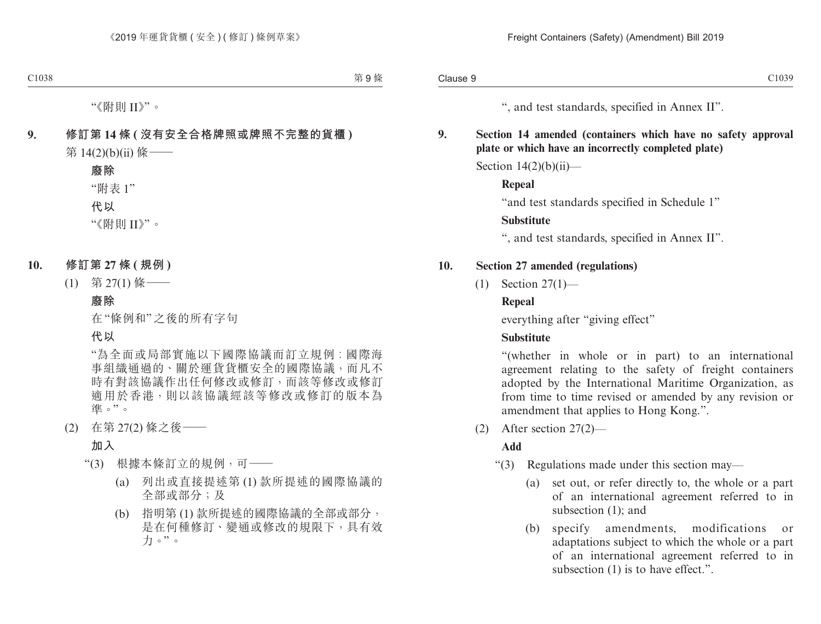", and test standards, specified in Annex II".

#### **9. Section 14 amended (containers which have no safety approval plate or which have an incorrectly completed plate)**

Section  $14(2)(b)(ii)$ —

#### **Repeal**

"and test standards specified in Schedule 1"

#### **Substitute**

", and test standards, specified in Annex II".

#### **10. Section 27 amended (regulations)**

(1) Section 27(1)—

#### **Repeal**

everything after "giving effect"

#### **Substitute**

"(whether in whole or in part) to an international agreement relating to the safety of freight containers adopted by the International Maritime Organization, as from time to time revised or amended by any revision or amendment that applies to Hong Kong.".

(2) After section 27(2)—

#### **Add**

- "(3) Regulations made under this section may—
	- (a) set out, or refer directly to, the whole or a part of an international agreement referred to in subsection (1); and
	- (b) specify amendments, modifications or adaptations subject to which the whole or a part of an international agreement referred to in subsection (1) is to have effect.".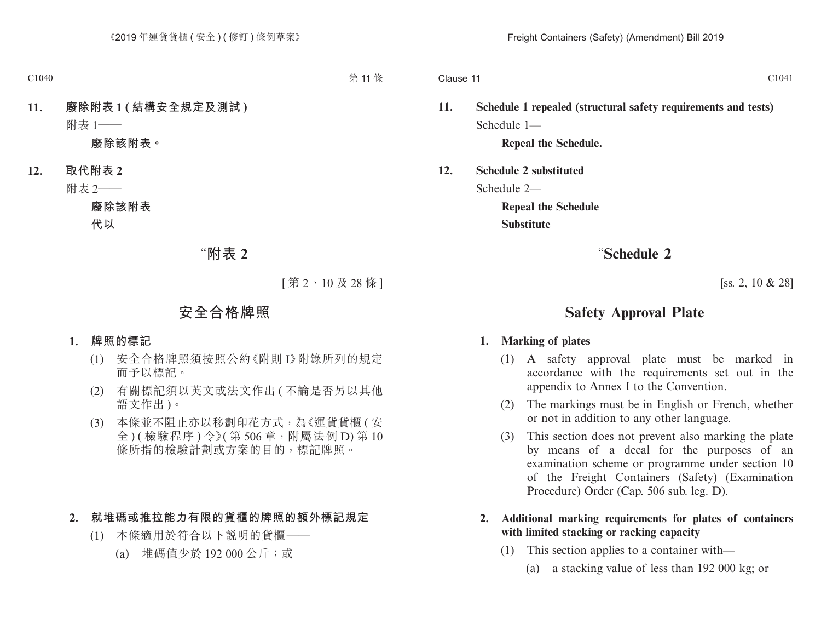**11. Schedule 1 repealed (structural safety requirements and tests)** Schedule 1—

**Repeal the Schedule.**

**12. Schedule 2 substituted**

Schedule 2—

**Repeal the Schedule Substitute**

# "**Schedule 2**

[ss. 2, 10 & 28]

# **Safety Approval Plate**

#### **1. Marking of plates**

- (1) A safety approval plate must be marked in accordance with the requirements set out in the appendix to Annex I to the Convention.
- (2) The markings must be in English or French, whether or not in addition to any other language.
- (3) This section does not prevent also marking the plate by means of a decal for the purposes of an examination scheme or programme under section 10 of the Freight Containers (Safety) (Examination Procedure) Order (Cap. 506 sub. leg. D).
- **2. Additional marking requirements for plates of containers with limited stacking or racking capacity**
	- (1) This section applies to a container with—
		- (a) a stacking value of less than 192 000 kg; or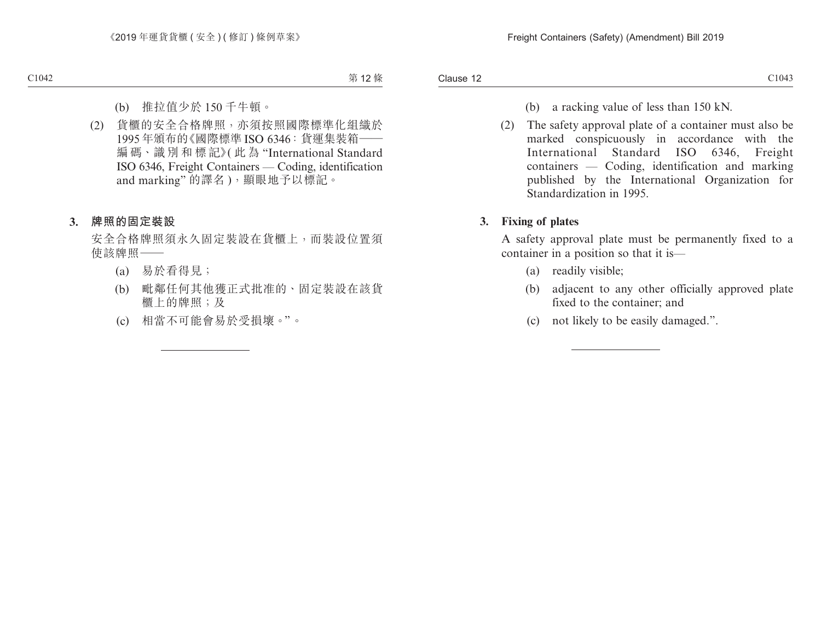- (b) a racking value of less than 150 kN.
- (2) The safety approval plate of a container must also be marked conspicuously in accordance with the International Standard ISO 6346, Freight containers — Coding, identification and marking published by the International Organization for Standardization in 1995.

#### **3. Fixing of plates**

A safety approval plate must be permanently fixed to a container in a position so that it is—

- (a) readily visible;
- (b) adjacent to any other officially approved plate fixed to the container; and
- (c) not likely to be easily damaged.".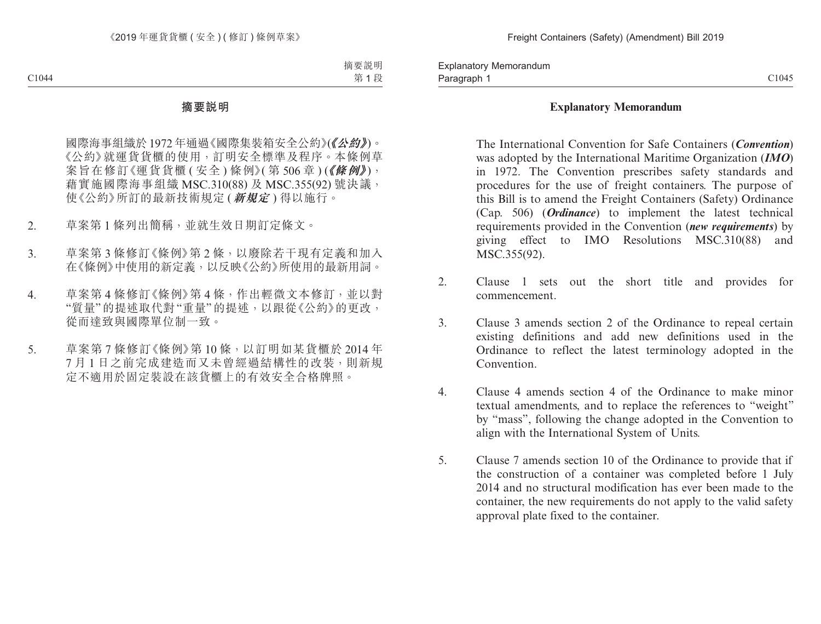Paragraph 1 and 2010 and 2010 and 2010 and 2010 and 2010 and 2010 and 2010 and 2010 and 2010 and 2010 and 2010 Explanatory Memorandum Paragraph 1

#### **Explanatory Memorandum**

The International Convention for Safe Containers (*Convention*) was adopted by the International Maritime Organization (*IMO*) in 1972. The Convention prescribes safety standards and procedures for the use of freight containers. The purpose of this Bill is to amend the Freight Containers (Safety) Ordinance (Cap. 506) (*Ordinance*) to implement the latest technical requirements provided in the Convention (*new requirements*) by giving effect to IMO Resolutions MSC.310(88) and MSC.355(92).

- 2. Clause 1 sets out the short title and provides for commencement.
- 3. Clause 3 amends section 2 of the Ordinance to repeal certain existing definitions and add new definitions used in the Ordinance to reflect the latest terminology adopted in the **Convention**
- 4. Clause 4 amends section 4 of the Ordinance to make minor textual amendments, and to replace the references to "weight" by "mass", following the change adopted in the Convention to align with the International System of Units.
- 5. Clause 7 amends section 10 of the Ordinance to provide that if the construction of a container was completed before 1 July 2014 and no structural modification has ever been made to the container, the new requirements do not apply to the valid safety approval plate fixed to the container.